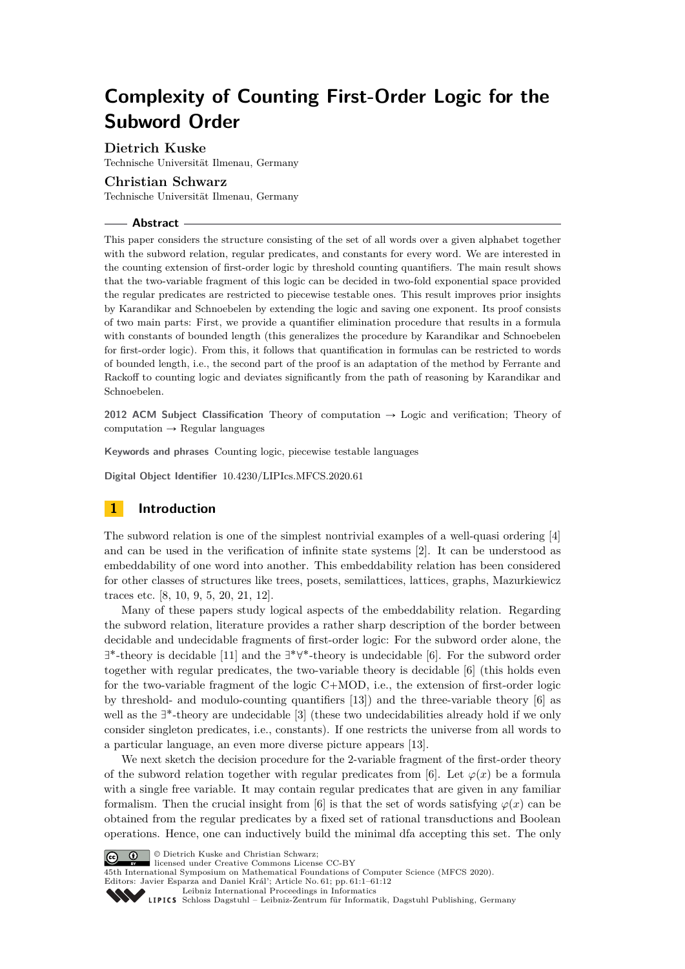# **Complexity of Counting First-Order Logic for the Subword Order**

**Dietrich Kuske**

Technische Universität Ilmenau, Germany

# **Christian Schwarz**

Technische Universität Ilmenau, Germany

#### **Abstract**

This paper considers the structure consisting of the set of all words over a given alphabet together with the subword relation, regular predicates, and constants for every word. We are interested in the counting extension of first-order logic by threshold counting quantifiers. The main result shows that the two-variable fragment of this logic can be decided in two-fold exponential space provided the regular predicates are restricted to piecewise testable ones. This result improves prior insights by Karandikar and Schnoebelen by extending the logic and saving one exponent. Its proof consists of two main parts: First, we provide a quantifier elimination procedure that results in a formula with constants of bounded length (this generalizes the procedure by Karandikar and Schnoebelen for first-order logic). From this, it follows that quantification in formulas can be restricted to words of bounded length, i.e., the second part of the proof is an adaptation of the method by Ferrante and Rackoff to counting logic and deviates significantly from the path of reasoning by Karandikar and Schnoebelen.

**2012 ACM Subject Classification** Theory of computation  $\rightarrow$  Logic and verification; Theory of  $computation \rightarrow Regular languages$ 

**Keywords and phrases** Counting logic, piecewise testable languages

**Digital Object Identifier** [10.4230/LIPIcs.MFCS.2020.61](https://doi.org/10.4230/LIPIcs.MFCS.2020.61)

# **1 Introduction**

The subword relation is one of the simplest nontrivial examples of a well-quasi ordering [\[4\]](#page-10-0) and can be used in the verification of infinite state systems [\[2\]](#page-10-1). It can be understood as embeddability of one word into another. This embeddability relation has been considered for other classes of structures like trees, posets, semilattices, lattices, graphs, Mazurkiewicz traces etc. [\[8,](#page-11-0) [10,](#page-11-1) [9,](#page-11-2) [5,](#page-10-2) [20,](#page-11-3) [21,](#page-11-4) [12\]](#page-11-5).

Many of these papers study logical aspects of the embeddability relation. Regarding the subword relation, literature provides a rather sharp description of the border between decidable and undecidable fragments of first-order logic: For the subword order alone, the  $\exists^*$ -theory is decidable [\[11\]](#page-11-6) and the  $\exists^*\forall^*$ -theory is undecidable [\[6\]](#page-10-3). For the subword order together with regular predicates, the two-variable theory is decidable [\[6\]](#page-10-3) (this holds even for the two-variable fragment of the logic  $C+MOD$ , i.e., the extension of first-order logic by threshold- and modulo-counting quantifiers [\[13\]](#page-11-7)) and the three-variable theory [\[6\]](#page-10-3) as well as the  $\exists^*$ -theory are undecidable  $[3]$  (these two undecidabilities already hold if we only consider singleton predicates, i.e., constants). If one restricts the universe from all words to a particular language, an even more diverse picture appears [\[13\]](#page-11-7).

We next sketch the decision procedure for the 2-variable fragment of the first-order theory of the subword relation together with regular predicates from [\[6\]](#page-10-3). Let  $\varphi(x)$  be a formula with a single free variable. It may contain regular predicates that are given in any familiar formalism. Then the crucial insight from [\[6\]](#page-10-3) is that the set of words satisfying  $\varphi(x)$  can be obtained from the regular predicates by a fixed set of rational transductions and Boolean operations. Hence, one can inductively build the minimal dfa accepting this set. The only



© Dietrich Kuske and Christian Schwarz;

licensed under Creative Commons License CC-BY

45th International Symposium on Mathematical Foundations of Computer Science (MFCS 2020).

Editors: Javier Esparza and Daniel Král'; Article No. 61; pp. 61:1–61[:12](#page-11-8)



[Schloss Dagstuhl – Leibniz-Zentrum für Informatik, Dagstuhl Publishing, Germany](https://www.dagstuhl.de)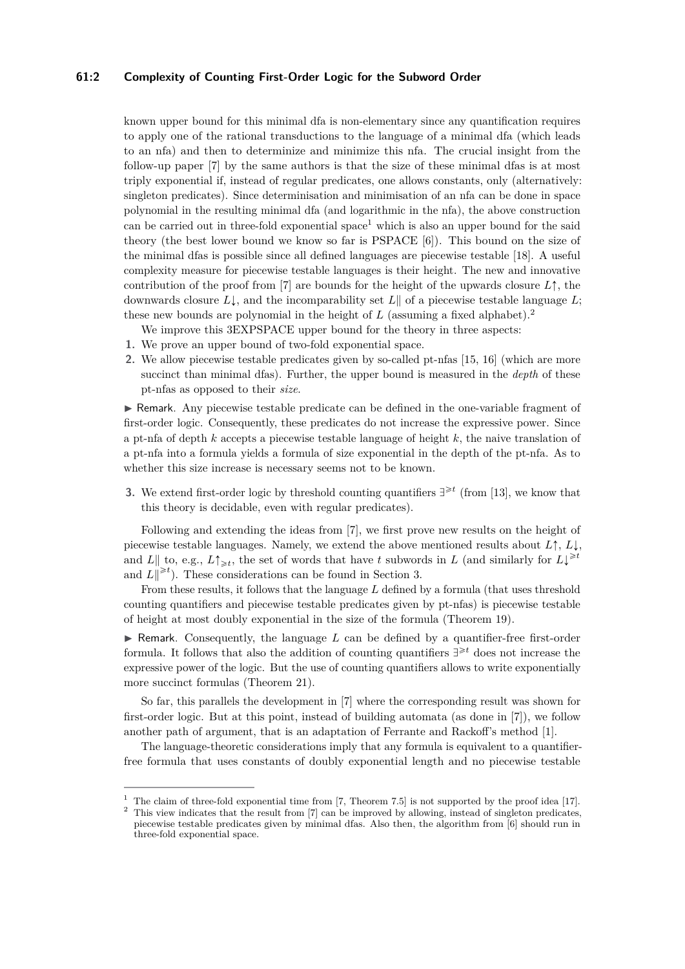#### **61:2 Complexity of Counting First-Order Logic for the Subword Order**

known upper bound for this minimal dfa is non-elementary since any quantification requires to apply one of the rational transductions to the language of a minimal dfa (which leads to an nfa) and then to determinize and minimize this nfa. The crucial insight from the follow-up paper [\[7\]](#page-10-5) by the same authors is that the size of these minimal dfas is at most triply exponential if, instead of regular predicates, one allows constants, only (alternatively: singleton predicates). Since determinisation and minimisation of an nfa can be done in space polynomial in the resulting minimal dfa (and logarithmic in the nfa), the above construction can be carried out in three-fold exponential space<sup>[1](#page-1-0)</sup> which is also an upper bound for the said theory (the best lower bound we know so far is PSPACE [\[6\]](#page-10-3)). This bound on the size of the minimal dfas is possible since all defined languages are piecewise testable [\[18\]](#page-11-9). A useful complexity measure for piecewise testable languages is their height. The new and innovative contribution of the proof from [\[7\]](#page-10-5) are bounds for the height of the upwards closure  $L\uparrow$ , the downwards closure  $L\downarrow$ , and the incomparability set  $L\parallel$  of a piecewise testable language  $L$ ; these new bounds are polynomial in the height of *L* (assuming a fixed alphabet).[2](#page-1-1)

We improve this 3EXPSPACE upper bound for the theory in three aspects:

- **1.** We prove an upper bound of two-fold exponential space.
- **2.** We allow piecewise testable predicates given by so-called pt-nfas [\[15,](#page-11-10) [16\]](#page-11-11) (which are more succinct than minimal dfas). Further, the upper bound is measured in the *depth* of these pt-nfas as opposed to their *size*.

I Remark. Any piecewise testable predicate can be defined in the one-variable fragment of first-order logic. Consequently, these predicates do not increase the expressive power. Since a pt-nfa of depth *k* accepts a piecewise testable language of height *k*, the naive translation of a pt-nfa into a formula yields a formula of size exponential in the depth of the pt-nfa. As to whether this size increase is necessary seems not to be known.

**3.** We extend first-order logic by threshold counting quantifiers  $\exists \geq t$  (from [\[13\]](#page-11-7), we know that this theory is decidable, even with regular predicates).

Following and extending the ideas from [\[7\]](#page-10-5), we first prove new results on the height of piecewise testable languages. Namely, we extend the above mentioned results about  $L \uparrow, L \downarrow$ , and  $L \|$  to, e.g.,  $L \uparrow_{\geq t}$ , the set of words that have *t* subwords in *L* (and similarly for  $L \downarrow^{\geq t}$ and  $L\Vert^{\geq t}$ ). These considerations can be found in Section [3.](#page-4-0)

From these results, it follows that the language *L* defined by a formula (that uses threshold counting quantifiers and piecewise testable predicates given by pt-nfas) is piecewise testable of height at most doubly exponential in the size of the formula (Theorem [19\)](#page-8-0).

 $\triangleright$  Remark. Consequently, the language *L* can be defined by a quantifier-free first-order formula. It follows that also the addition of counting quantifiers  $\exists^{\geq t}$  does not increase the expressive power of the logic. But the use of counting quantifiers allows to write exponentially more succinct formulas (Theorem [21\)](#page-9-0).

So far, this parallels the development in [\[7\]](#page-10-5) where the corresponding result was shown for first-order logic. But at this point, instead of building automata (as done in [\[7\]](#page-10-5)), we follow another path of argument, that is an adaptation of Ferrante and Rackoff's method [\[1\]](#page-10-6).

The language-theoretic considerations imply that any formula is equivalent to a quantifierfree formula that uses constants of doubly exponential length and no piecewise testable

<span id="page-1-0"></span><sup>&</sup>lt;sup>1</sup> The claim of three-fold exponential time from [\[7,](#page-10-5) Theorem 7.5] is not supported by the proof idea [\[17\]](#page-11-12).

<span id="page-1-1"></span><sup>&</sup>lt;sup>2</sup> This view indicates that the result from [\[7\]](#page-10-5) can be improved by allowing, instead of singleton predicates, piecewise testable predicates given by minimal dfas. Also then, the algorithm from [\[6\]](#page-10-3) should run in three-fold exponential space.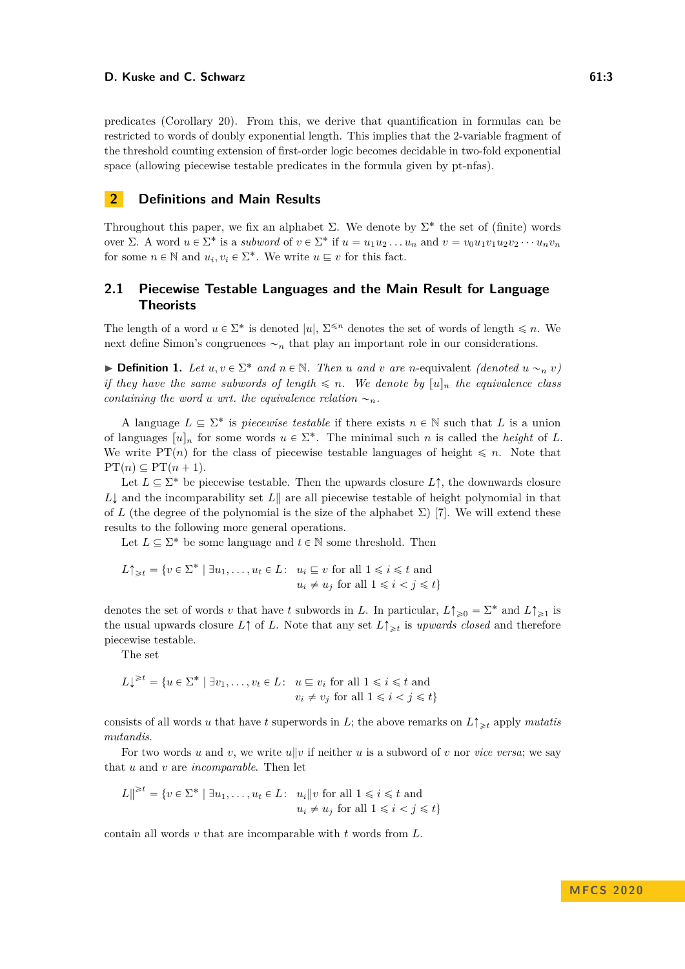predicates (Corollary [20\)](#page-8-1). From this, we derive that quantification in formulas can be restricted to words of doubly exponential length. This implies that the 2-variable fragment of the threshold counting extension of first-order logic becomes decidable in two-fold exponential space (allowing piecewise testable predicates in the formula given by pt-nfas).

# **2 Definitions and Main Results**

Throughout this paper, we fix an alphabet  $\Sigma$ . We denote by  $\Sigma^*$  the set of (finite) words over  $\Sigma$ . A word  $u \in \Sigma^*$  is a *subword* of  $v \in \Sigma^*$  if  $u = u_1 u_2 \ldots u_n$  and  $v = v_0 u_1 v_1 u_2 v_2 \cdots u_n v_n$ for some  $n \in \mathbb{N}$  and  $u_i, v_i \in \Sigma^*$ . We write  $u \sqsubseteq v$  for this fact.

# **2.1 Piecewise Testable Languages and the Main Result for Language Theorists**

The length of a word  $u \in \Sigma^*$  is denoted  $|u|$ ,  $\Sigma^{\leq n}$  denotes the set of words of length  $\leq n$ . We next define Simon's congruences  $\sim_n$  that play an important role in our considerations.

**• Definition 1.** Let  $u, v \in \Sigma^*$  and  $n \in \mathbb{N}$ . Then *u* and *v* are *n*-equivalent *(denoted*  $u \sim_n v$ ) *if they have the same subwords of length*  $\leq n$ *. We denote by*  $[u]_n$  *the equivalence class containing the word u wrt. the equivalence relation*  $\sim_n$ *.* 

A language  $L \subseteq \Sigma^*$  is *piecewise testable* if there exists  $n \in \mathbb{N}$  such that *L* is a union of languages  $[u]_n$  for some words  $u \in \Sigma^*$ . The minimal such *n* is called the *height* of *L*. We write PT(*n*) for the class of piecewise testable languages of height  $\leq n$ . Note that  $PT(n) \subseteq PT(n + 1)$ .

Let  $L \subseteq \Sigma^*$  be piecewise testable. Then the upwards closure  $L \uparrow$ , the downwards closure  $L\downarrow$  and the incomparability set  $L\parallel$  are all piecewise testable of height polynomial in that of *L* (the degree of the polynomial is the size of the alphabet  $\Sigma$ ) [\[7\]](#page-10-5). We will extend these results to the following more general operations.

Let  $L \subseteq \Sigma^*$  be some language and  $t \in \mathbb{N}$  some threshold. Then

$$
L\uparrow_{\geq t} = \{v \in \Sigma^* \mid \exists u_1, \dots, u_t \in L: \ u_i \sqsubseteq v \text{ for all } 1 \leq i \leq t \text{ and } u_i \neq u_j \text{ for all } 1 \leq i < j \leq t\}
$$

denotes the set of words *v* that have *t* subwords in *L*. In particular,  $L \uparrow_{\geq 0} = \Sigma^*$  and  $L \uparrow_{\geq 1}$  is the usual upwards closure  $L \uparrow$  of *L*. Note that any set  $L \uparrow \geq t$  is *upwards closed* and therefore piecewise testable.

The set

$$
L\downarrow^{\geq t} = \{ u \in \Sigma^* \mid \exists v_1, \dots, v_t \in L: u \sqsubseteq v_i \text{ for all } 1 \leq i \leq t \text{ and } v_i \neq v_j \text{ for all } 1 \leq i < j \leq t \}
$$

consists of all words *u* that have *t* superwords in *L*; the above remarks on  $L\uparrow_{\geq t}$  apply *mutatis mutandis*.

For two words *u* and *v*, we write  $u||v$  if neither *u* is a subword of *v* nor *vice versa*; we say that *u* and *v* are *incomparable*. Then let

$$
L \rVert^{\geq t} = \{ v \in \Sigma^* \mid \exists u_1, \dots, u_t \in L: \quad u_i \rVert v \text{ for all } 1 \leq i \leq t \text{ and } u_i \neq u_j \text{ for all } 1 \leq i < j \leq t \}
$$

contain all words *v* that are incomparable with *t* words from *L*.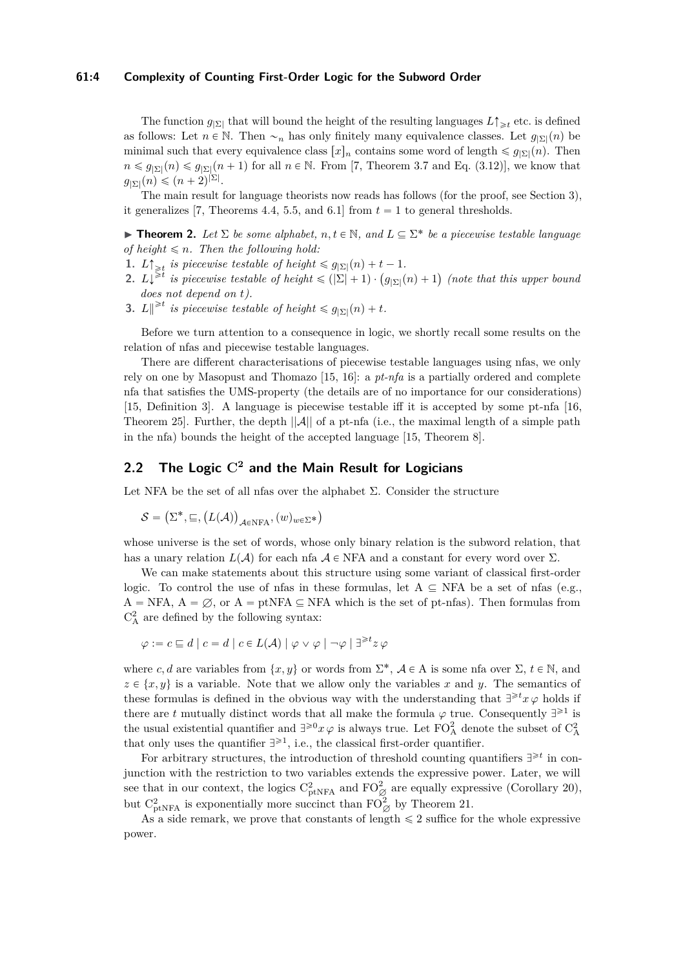#### **61:4 Complexity of Counting First-Order Logic for the Subword Order**

The function  $g_{\vert \Sigma \vert}$  that will bound the height of the resulting languages  $L\uparrow_{\geq t}$  etc. is defined as follows: Let  $n \in \mathbb{N}$ . Then  $\sim_n$  has only finitely many equivalence classes. Let  $g_{|\Sigma|}(n)$  be minimal such that every equivalence class  $[x]_n$  contains some word of length  $\leq g_{|\Sigma|}(n)$ . Then  $n \leq g_{\vert \Sigma \vert}(n) \leq g_{\vert \Sigma \vert}(n+1)$  for all  $n \in \mathbb{N}$ . From [\[7,](#page-10-5) Theorem 3.7 and Eq. (3.12)], we know that  $g_{\vert \Sigma \vert}(n) \leqslant (n+2)^{\vert \Sigma \vert}.$ 

The main result for language theorists now reads has follows (for the proof, see Section [3\)](#page-4-0), it generalizes [\[7,](#page-10-5) Theorems 4.4, 5.5, and 6.1] from  $t = 1$  to general thresholds.

<span id="page-3-0"></span>**Theorem 2.** Let  $\Sigma$  be some alphabet,  $n, t \in \mathbb{N}$ , and  $L \subseteq \Sigma^*$  be a piecewise testable language *of height*  $\leq n$ *. Then the following hold:* 

- **1.**  $L \uparrow \geq t$  is piecewise testable of height  $\leq g_{\mid \Sigma \mid}(n) + t 1$ .
- **2.**  $L\uparrow \geq t$  is piecewise testable of height  $\leq \frac{g}{\vert \Sigma \vert} (n) + t 1$ .<br> **2.**  $L\downarrow^{\geq t}$  is piecewise testable of height  $\leq (\vert \Sigma \vert + 1) \cdot \left( \frac{g}{\vert \Sigma \vert} (n) + 1 \right)$ *(note that this upper bound does not depend on t).*
- **3.**  $L \parallel \geq t$  is piecewise testable of height  $\leq g_{\mid \Sigma \mid}(n) + t$ .

Before we turn attention to a consequence in logic, we shortly recall some results on the relation of nfas and piecewise testable languages.

There are different characterisations of piecewise testable languages using nfas, we only rely on one by Masopust and Thomazo [\[15,](#page-11-10) [16\]](#page-11-11): a *pt-nfa* is a partially ordered and complete nfa that satisfies the UMS-property (the details are of no importance for our considerations) [\[15,](#page-11-10) Definition 3]. A language is piecewise testable iff it is accepted by some pt-nfa [\[16,](#page-11-11) Theorem 25]. Further, the depth  $||A||$  of a pt-nfa (i.e., the maximal length of a simple path in the nfa) bounds the height of the accepted language [\[15,](#page-11-10) Theorem 8].

# **2.2 The Logic C<sup>2</sup> and the Main Result for Logicians**

Let NFA be the set of all nfas over the alphabet  $\Sigma$ . Consider the structure

$$
\mathcal{S} = \left(\Sigma^*, \sqsubseteq, \left(L(\mathcal{A})\right)_{\mathcal{A}\in \mathrm{NFA}}, (w)_{w\in \Sigma^*}\right)
$$

whose universe is the set of words, whose only binary relation is the subword relation, that has a unary relation  $L(\mathcal{A})$  for each nfa  $\mathcal{A} \in \text{NFA}$  and a constant for every word over  $\Sigma$ .

We can make statements about this structure using some variant of classical first-order logic. To control the use of nfas in these formulas, let  $A \subseteq NFA$  be a set of nfas (e.g.,  $A = NFA$ ,  $A = \emptyset$ , or  $A = p$ tNFA  $\subseteq$  NFA which is the set of pt-nfas). Then formulas from  $\mathrm{C}_\mathrm{A}^2$  are defined by the following syntax:

$$
\varphi := c \sqsubseteq d \mid c = d \mid c \in L(\mathcal{A}) \mid \varphi \vee \varphi \mid \neg \varphi \mid \exists^{\geqslant t} z \varphi
$$

where *c*, *d* are variables from  $\{x, y\}$  or words from  $\Sigma^*$ ,  $A \in A$  is some nfa over  $\Sigma$ ,  $t \in \mathbb{N}$ , and  $z \in \{x, y\}$  is a variable. Note that we allow only the variables *x* and *y*. The semantics of these formulas is defined in the obvious way with the understanding that  $\exists^{\geq t} x \varphi$  holds if there are *t* mutually distinct words that all make the formula  $\varphi$  true. Consequently  $\exists^{\geq 1}$  is the usual existential quantifier and  $\exists^{\geq 0} x \varphi$  is always true. Let  $\mathrm{FO}_{\mathrm{A}}^2$  denote the subset of  $\mathrm{C}_{\mathrm{A}}^2$ that only uses the quantifier  $\exists^{\geq 1}$ , i.e., the classical first-order quantifier.

For arbitrary structures, the introduction of threshold counting quantifiers  $\exists^{\geq t}$  in conjunction with the restriction to two variables extends the expressive power. Later, we will see that in our context, the logics  $C_{\text{ptNFA}}^2$  and  $\text{FO}_\varnothing^2$  are equally expressive (Corollary [20\)](#page-8-1), but  $C_{\text{ptNFA}}^2$  is exponentially more succinct than  $\text{FO}_\varnothing^2$  by Theorem [21.](#page-9-0)

As a side remark, we prove that constants of length  $\leq 2$  suffice for the whole expressive power.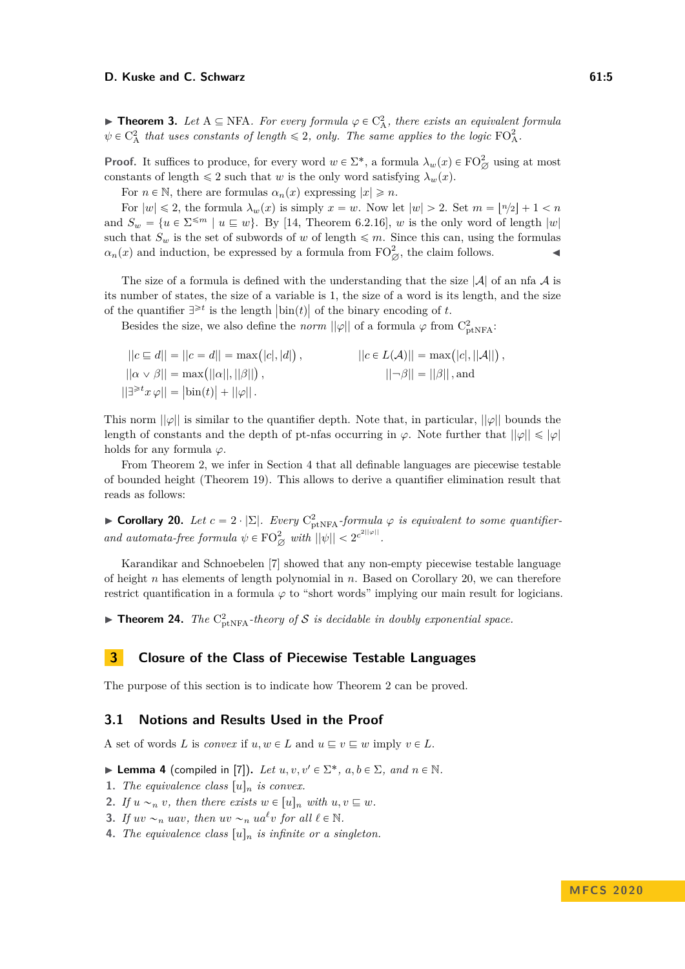**Theorem 3.** Let  $A \subseteq NFA$ *. For every formula*  $\varphi \in C_A^2$ *, there exists an equivalent formula*  $\psi \in C_A^2$  *that uses constants of length*  $\leq 2$ *, only. The same applies to the logic*  $FO_A^2$ *.* 

**Proof.** It suffices to produce, for every word  $w \in \Sigma^*$ , a formula  $\lambda_w(x) \in \mathrm{FO}_{\varnothing}^2$  using at most constants of length  $\leq 2$  such that *w* is the only word satisfying  $\lambda_w(x)$ .

For  $n \in \mathbb{N}$ , there are formulas  $\alpha_n(x)$  expressing  $|x| \geq n$ .

For  $|w| \leq 2$ , the formula  $\lambda_w(x)$  is simply  $x = w$ . Now let  $|w| > 2$ . Set  $m = |n/2| + 1 < n$ and  $S_w = \{u \in \Sigma^{\leq m} \mid u \sqsubseteq w\}$ . By [\[14,](#page-11-13) Theorem 6.2.16], *w* is the only word of length  $|w|$ such that  $S_w$  is the set of subwords of *w* of length  $\leq m$ . Since this can, using the formulas  $\alpha_n(x)$  and induction, be expressed by a formula from  $FO^2_{\emptyset}$ , the claim follows.

The size of a formula is defined with the understanding that the size  $|\mathcal{A}|$  of an nfa  $\mathcal{A}$  is its number of states, the size of a variable is 1, the size of a word is its length, and the size of the quantifier  $\exists^{\geq t}$  is the length  $|\text{bin}(t)|$  of the binary encoding of *t*.

Besides the size, we also define the *norm*  $||\varphi||$  of a formula  $\varphi$  from  $C^2_{ptNFA}$ :

| $  c \sqsubseteq d   =   c = d   = \max( c ,  d ),$               | $  c \in L(\mathcal{A})   = \max( c ,   \mathcal{A}  ),$ |
|-------------------------------------------------------------------|----------------------------------------------------------|
| $  \alpha \vee \beta   = \max(  \alpha  ,   \beta  ),$            | $  \neg \beta   =   \beta  $ , and                       |
| $  \exists^{\geq t} x \varphi   =  \text{bin}(t)  +   \varphi  .$ |                                                          |

This norm ||*ϕ*|| is similar to the quantifier depth. Note that, in particular, ||*ϕ*|| bounds the length of constants and the depth of pt-nfas occurring in  $\varphi$ . Note further that  $||\varphi|| \leq |\varphi|$ holds for any formula  $\varphi$ .

From Theorem [2,](#page-3-0) we infer in Section [4](#page-8-2) that all definable languages are piecewise testable of bounded height (Theorem [19\)](#page-8-0). This allows to derive a quantifier elimination result that reads as follows:

► **Corollary 20.** *Let*  $c = 2 \cdot |\Sigma|$ *. Every*  $C_{ptNFA}^2$ *-formula*  $\varphi$  *is equivalent to some quantifierand automata-free formula*  $\psi \in \mathrm{FO}_{\varnothing}^2$  with  $||\psi|| < 2^{c^{2||\varphi||}}$ .

Karandikar and Schnoebelen [\[7\]](#page-10-5) showed that any non-empty piecewise testable language of height *n* has elements of length polynomial in *n*. Based on Corollary [20,](#page-8-1) we can therefore restrict quantification in a formula  $\varphi$  to "short words" implying our main result for logicians.

**Theorem 24.** *The*  $C_{\text{ptNFA}}^2$ -theory of S is decidable in doubly exponential space.

# <span id="page-4-0"></span>**3 Closure of the Class of Piecewise Testable Languages**

The purpose of this section is to indicate how Theorem [2](#page-3-0) can be proved.

#### **3.1 Notions and Results Used in the Proof**

<span id="page-4-5"></span>A set of words *L* is *convex* if  $u, w \in L$  and  $u \subseteq v \subseteq w$  imply  $v \in L$ .

**I Lemma 4** (compiled in [\[7\]](#page-10-5)). Let  $u, v, v' \in \Sigma^*$ ,  $a, b \in \Sigma$ , and  $n \in \mathbb{N}$ .

<span id="page-4-1"></span>**1.** *The equivalence class*  $[u]_n$  *is convex.* 

<span id="page-4-2"></span>**2.** If  $u \sim_n v$ , then there exists  $w \in [u]_n$  with  $u, v \subseteq w$ .

<span id="page-4-3"></span>**3.** If  $uv \sim_n uav$ , then  $uv \sim_n u a^{\ell}v$  for all  $\ell \in \mathbb{N}$ .

<span id="page-4-4"></span>**4.** *The equivalence class*  $[u]_n$  *is infinite or a singleton.*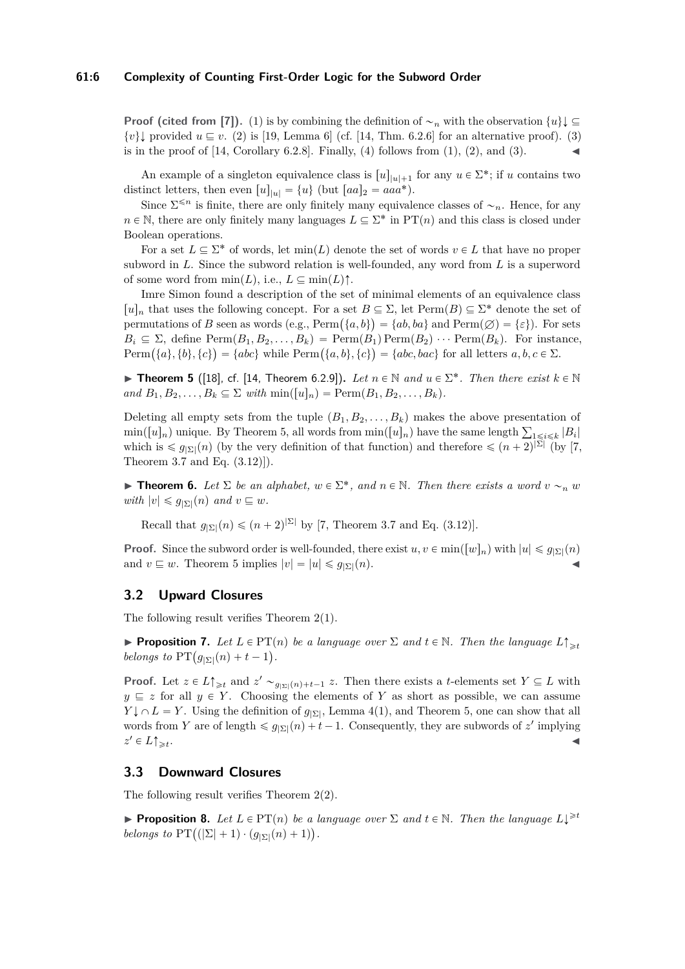#### **61:6 Complexity of Counting First-Order Logic for the Subword Order**

**Proof (cited from [\[7\]](#page-10-5)).** [\(1\)](#page-4-1) is by combining the definition of  $\sim_n$  with the observation  $\{u\}$  $\{v\}$  provided  $u \sqsubseteq v$ . [\(2\)](#page-4-2) is [\[19,](#page-11-14) Lemma 6] (cf. [\[14,](#page-11-13) Thm. 6.2.6] for an alternative proof). [\(3\)](#page-4-3) is in the proof of  $[14, Corollary 6.2.8]$  $[14, Corollary 6.2.8]$ . Finally,  $(4)$  follows from  $(1), (2),$  $(1), (2),$  $(1), (2),$  $(1), (2),$  and  $(3)$ .

An example of a singleton equivalence class is  $[u]_{|u|+1}$  for any  $u \in \Sigma^*$ ; if *u* contains two distinct letters, then even  $[u]_{|u|} = \{u\}$  (but  $[aa]_2 = aaa^*$ ).

Since  $\Sigma^{\leq n}$  is finite, there are only finitely many equivalence classes of  $\sim_n$ . Hence, for any  $n \in \mathbb{N}$ , there are only finitely many languages  $L \subseteq \Sigma^*$  in PT $(n)$  and this class is closed under Boolean operations.

For a set  $L \subseteq \Sigma^*$  of words, let  $\min(L)$  denote the set of words  $v \in L$  that have no proper subword in *L*. Since the subword relation is well-founded, any word from *L* is a superword of some word from  $\min(L)$ , i.e.,  $L \subseteq \min(L)$ <sup> $\uparrow$ </sup>.

Imre Simon found a description of the set of minimal elements of an equivalence class  $[u]_n$  that uses the following concept. For a set  $B \subseteq \Sigma$ , let  $\text{Perm}(B) \subseteq \Sigma^*$  denote the set of  $[u]_n$  that uses the following concept. For a set  $B \subseteq \Sigma$ , let  $\text{Perm}(B) \subseteq \Sigma^*$  denote the set of permutations of *B* seen as words (e.g.,  $\text{Perm}(\{a, b\}) = \{ab, ba\}$  and  $\text{Perm}(\emptyset) = \{\varepsilon\}$ ). For sets  $B_i \subseteq \Sigma$ , define  $\text{Perm}(B_1, B_2, \ldots, B_k) = \text{Perm}(B_1)\text{Perm}(B_2) \cdots \text{Perm}(B_k)$ . For instance,  $B_i \subseteq \Sigma$ , define  $\text{Perm}(B_1, B_2, \ldots, B_k) = \text{Perm}(B_1) \text{Perm}(B_2) \cdots \text{Perm}(B_k)$ . For instanant  $\text{Perm}(\{a\}, \{b\}, \{c\}) = \{abc\}$  while  $\text{Perm}(\{a, b\}, \{c\}) = \{abc, bac\}$  for all letters  $a, b, c \in \Sigma$ .

<span id="page-5-0"></span>**Findmen 5** ([\[18\]](#page-11-9), cf. [\[14,](#page-11-13) Theorem 6.2.9]). Let  $n \in \mathbb{N}$  and  $u \in \Sigma^*$ . Then there exist  $k \in \mathbb{N}$  $and B_1, B_2, \ldots, B_k \subseteq \Sigma \text{ with } \min([u]_n) = \text{Perm}(B_1, B_2, \ldots, B_k).$ 

Deleting all empty sets from the tuple  $(B_1, B_2, \ldots, B_k)$  makes the above presentation of Deleting all empty sets from the tuple  $(B_1, B_2, \ldots, B_k)$  makes the above presentation of  $\min([u]_n)$  unique. By Theorem [5,](#page-5-0) all words from  $\min([u]_n)$  have the same length  $\sum_{1 \leq i \leq k} |B_i|$ which is  $\leq \lim_{n \to \infty} p_n$  (by the very definition of that function) and therefore  $\leq (n+2)^{|\Sigma|}$  (by [\[7,](#page-10-5) Theorem 3.7 and Eq. (3.12)]).

**Find 1 Find 1 6.** *Let*  $\Sigma$  *be an alphabet,*  $w \in \Sigma^*$ *, and*  $n \in \mathbb{N}$ *. Then there exists a word*  $v \sim_n w$  $with |v| \leq g_{|\Sigma|}(n)$  and  $v \sqsubseteq w$ .

Recall that  $g_{\vert \Sigma \vert}(n) \leqslant (n+2)^{\vert \Sigma \vert}$  by [\[7,](#page-10-5) Theorem 3.7 and Eq. (3.12)].

**Proof.** Since the subword order is well-founded, there exist  $u, v \in min([w]_n)$  with  $|u| \leq q_{|\Sigma|}(n)$ and  $v \subseteq w$ . Theorem [5](#page-5-0) implies  $|v| = |u| \leq g_{|\Sigma|}(n)$ .

## **3.2 Upward Closures**

The following result verifies Theorem [2\(](#page-3-0)1).

**Proposition 7.** Let  $L \in PT(n)$  be a language over  $\Sigma$  and  $t \in \mathbb{N}$ . Then the language  $L \uparrow_{\geq t}$ *belongs to*  $\text{PT}(g_{|\Sigma|}(n) + t - 1)$ .

**Proof.** Let  $z \in L \uparrow \geq t$  and  $z' \sim g_{|\Sigma|}(n) + t - 1$  *z*. Then there exists a *t*-elements set  $Y \subseteq L$  with  $y \subseteq z$  for all  $y \in Y$ . Choosing the elements of *Y* as short as possible, we can assume  $Y \downarrow \cap L = Y$ . Using the definition of  $g_{\vert \Sigma \vert}$ , Lemma [4](#page-4-5)[\(1\)](#page-4-1), and Theorem [5,](#page-5-0) one can show that all words from *Y* are of length  $\leq g_{|\Sigma|}(n) + t - 1$ . Consequently, they are subwords of *z'* implying  $z' \in L \uparrow \gtrless_t$ . Jan 1980. aastal 1980. aastal 1980. aastal 1980. aastal 1980. aastal 1980. aastal 1980. aastal 1980. aastal<br>Jan 1980. aastal 1980. aastal 1980. aastal 1980. aastal 1980. aastal 1980. aastal 1980. aastal 1980. aastal 19

## **3.3 Downward Closures**

The following result verifies Theorem [2\(](#page-3-0)2).

**Proposition 8.** Let  $L \in PT(n)$  be a language over  $\Sigma$  and  $t \in \mathbb{N}$ . Then the language  $L\downarrow^{\geq t}$ **belongs to PT**( $(|\Sigma| + 1) \cdot (g_{|\Sigma|}(n) + 1)$ ).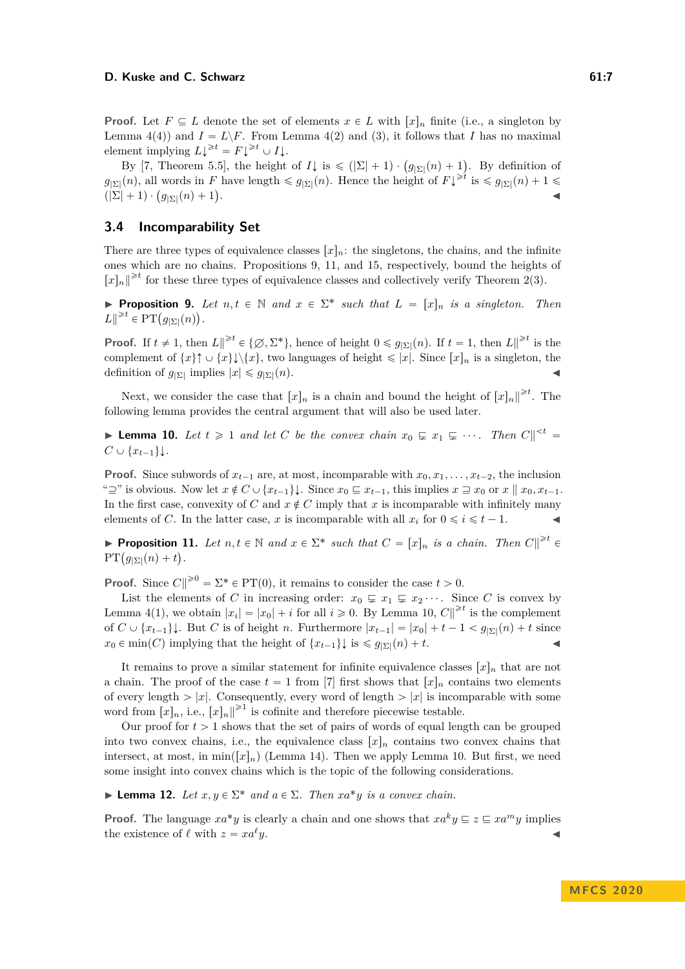**Proof.** Let  $F \subseteq L$  denote the set of elements  $x \in L$  with  $[x]_n$  finite (i.e., a singleton by Lemma  $4(4)$  $4(4)$  and  $I = L \ F$ . From Lemma  $4(2)$  $4(2)$  and  $(3)$ , it follows that *I* has no maximal element implying  $L\downarrow^{\geq t} = F\downarrow^{\geq t} \cup I\downarrow$ .

ment implying  $L^{\infty} = F^{\infty} \cup I$ .<br>By [\[7,](#page-10-5) Theorem 5.5], the height of  $I\downarrow$  is  $\leq (|\Sigma| + 1) \cdot (g_{|\Sigma|}(n) + 1)$ . By definition of  $g_{\vert \Sigma \vert}(n)$ , all words in *F* have length  $\leqslant g_{\vert \Sigma \vert}(n)$ . Hence the height of  $F\downarrow^{\geqslant t}$  is  $\leqslant g_{\vert \Sigma \vert}(n) + 1 \leqslant$  $g_{\vert \Sigma \vert} (n)$ , all words in *F*<br>  $(\vert \Sigma \vert + 1) \cdot (g_{\vert \Sigma \vert} (n) + 1)$ . John Stein Stein Stein Stein Stein Stein Stein Stein Stein Stein Stein Stein Stein Stein Stein Stein Stein S<br>John Stein Stein Stein Stein Stein Stein Stein Stein Stein Stein Stein Stein Stein Stein Stein Stein Stein Ste

# **3.4 Incomparability Set**

There are three types of equivalence classes  $[x]_n$ : the singletons, the chains, and the infinite ones which are no chains. Propositions [9,](#page-6-0) [11,](#page-6-1) and [15,](#page-7-0) respectively, bound the heights of  $[x]_n \rVert_{\geq t}$  for these three types of equivalence classes and collectively verify Theorem [2\(](#page-3-0)3).

<span id="page-6-0"></span>**Proposition 9.** Let  $n, t \in \mathbb{N}$  and  $x \in \Sigma^*$  such that  $L = [x]_n$  is a singleton. Then *L*∥<sup>≥*t*</sup> ∈ PT $(g_{|\Sigma|}(n))$ .

**Proof.** If  $t \neq 1$ , then  $L \parallel^{\geq t} \in \{\emptyset, \Sigma^*\}$ , hence of height  $0 \leq g_{|\Sigma|}(n)$ . If  $t = 1$ , then  $L \parallel^{\geq t}$  is the complement of  $\{x\} \uparrow \cup \{x\} \downarrow \setminus \{x\}$ , two languages of height  $\leq |x|$ . Since  $[x]_n$  is a singleton, the definition of  $g_{|\Sigma|}$  implies  $|x| \le g_{|\Sigma|}(n)$ .

Next, we consider the case that  $[x]_n$  is a chain and bound the height of  $[x]_n \rvert^{\geq t}$ . The following lemma provides the central argument that will also be used later.

<span id="page-6-2"></span>**Lemma 10.** Let  $t \ge 1$  and let C be the convex chain  $x_0 \subsetneq x_1 \subsetneq \cdots$ . Then  $C \parallel^{< t}$  $C \cup \{x_{t-1}\}\downarrow$ .

**Proof.** Since subwords of  $x_{t-1}$  are, at most, incomparable with  $x_0, x_1, \ldots, x_{t-2}$ , the inclusion " $\supseteq$ " is obvious. Now let  $x \notin C \cup \{x_{t-1}\}\}\right$ . Since  $x_0 \subseteq x_{t-1}$ , this implies  $x \supseteq x_0$  or  $x \parallel x_0, x_{t-1}$ . In the first case, convexity of *C* and  $x \notin C$  imply that *x* is incomparable with infinitely many elements of *C*. In the latter case, *x* is incomparable with all  $x_i$  for  $0 \le i \le t - 1$ .

<span id="page-6-1"></span>**Proposition 11.** *Let*  $n, t \in \mathbb{N}$  *and*  $x \in \Sigma^*$  *such that*  $C = [x]_n$  *is a chain. Then*  $C \parallel^{\geq t} \in \mathrm{PT}(g_{|\Sigma|}(n) + t)$ .  $g_{\vert\Sigma\vert}(n)+t$ .

**Proof.** Since  $C \parallel \ge 0$  =  $\Sigma^* \in PT(0)$ , it remains to consider the case  $t > 0$ .

List the elements of *C* in increasing order:  $x_0 \subsetneq x_1 \subsetneq x_2 \cdots$ . Since *C* is convex by Lemma [4](#page-4-5)[\(1\)](#page-4-1), we obtain  $|x_i| = |x_0| + i$  for all  $i \ge 0$ . By Lemma [10,](#page-6-2)  $C \parallel^{\ge t}$  is the complement of  $C \cup \{x_{t-1}\}\}\right$ . But  $C$  is of height  $n$ . Furthermore  $|x_{t-1}| = |x_0| + t - 1 < g_{|\Sigma|}(n) + t$  since  $x_0 \in \min(C)$  implying that the height of  $\{x_{t-1}\}\}\$  is  $\leqslant g_{|\Sigma|}(n) + t$ .

It remains to prove a similar statement for infinite equivalence classes  $x_n$  that are not a chain. The proof of the case  $t = 1$  from [\[7\]](#page-10-5) first shows that  $[x]_n$  contains two elements of every length  $|x|$ . Consequently, every word of length  $|x|$  is incomparable with some word from  $[x]_n$ , i.e.,  $[x]_n \rVert^{\geq 1}$  is cofinite and therefore piecewise testable.

Our proof for  $t > 1$  shows that the set of pairs of words of equal length can be grouped into two convex chains, i.e., the equivalence class  $[x]_n$  contains two convex chains that intersect, at most, in min $([x]_n)$  (Lemma [14\)](#page-7-1). Then we apply Lemma [10.](#page-6-2) But first, we need some insight into convex chains which is the topic of the following considerations.

<span id="page-6-3"></span>**Example 12.** *Let*  $x, y \in \Sigma^*$  *and*  $a \in \Sigma$ *. Then*  $xa^*y$  *is a convex chain.* 

**Proof.** The language  $xa^*y$  is clearly a chain and one shows that  $xa^ky \subseteq z \subseteq xa^my$  implies the existence of  $\ell$  with  $z = xa^{\ell}y$ .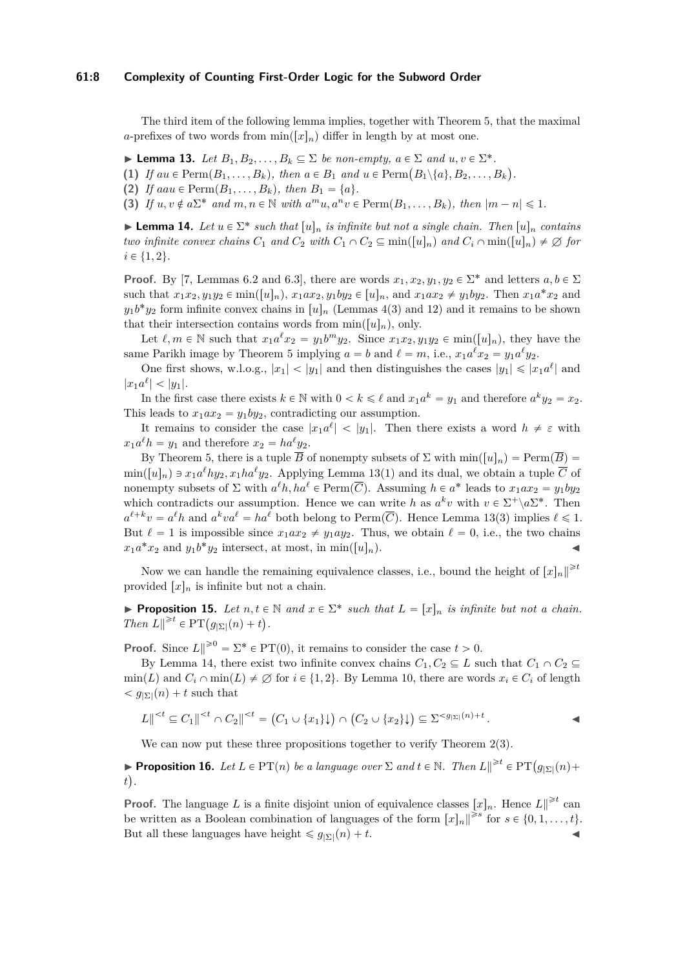#### **61:8 Complexity of Counting First-Order Logic for the Subword Order**

The third item of the following lemma implies, together with Theorem [5,](#page-5-0) that the maximal *a*-prefixes of two words from  $\min([x]_n)$  differ in length by at most one.

<span id="page-7-2"></span>**Example 13.** *Let*  $B_1, B_2, \ldots, B_k \subseteq \Sigma$  *be non-empty,*  $a \in \Sigma$  *and*  $u, v \in \Sigma^*$ .

► **Lemma 13.** Let  $B_1, B_2, \ldots, B_k \subseteq \Sigma$  be non-empty,  $a \in \Sigma$  and  $u, v \in \Sigma^*$ .<br>
(1) If  $au \in \text{Perm}(B_1, \ldots, B_k)$ , then  $a \in B_1$  and  $u \in \text{Perm}(B_1 \setminus \{a\}, B_2, \ldots, B_k)$ .

(2) *If*  $aau \in \text{Perm}(B_1, \ldots, B_k)$ *, then*  $B_1 = \{a\}.$ 

**(3)** *If*  $u, v \notin a\Sigma^*$  *and*  $m, n \in \mathbb{N}$  *with*  $a^m u, a^n v \in \text{Perm}(B_1, \ldots, B_k)$ *, then*  $|m - n| \leq 1$ *.* 

<span id="page-7-1"></span>**Example 14.** Let  $u \in \Sigma^*$  such that  $[u]_n$  is infinite but not a single chain. Then  $[u]_n$  contains *two infinite convex chains*  $C_1$  *and*  $C_2$  *with*  $C_1 \cap C_2 \subseteq \min([u]_n)$  *and*  $C_i \cap \min([u]_n) \neq \emptyset$  *for*  $i \in \{1, 2\}.$ 

**Proof.** By [\[7,](#page-10-5) Lemmas 6.2 and 6.3], there are words  $x_1, x_2, y_1, y_2 \in \Sigma^*$  and letters  $a, b \in \Sigma$ such that  $x_1x_2, y_1y_2 \in \min([u]_n)$ ,  $x_1ax_2, y_1by_2 \in [u]_n$ , and  $x_1ax_2 \neq y_1by_2$ . Then  $x_1a^*x_2$  and  $y_1 b^* y_2$  form infinite convex chains in  $[u]_n$  (Lemmas [4\(](#page-4-5)[3\)](#page-4-3) and [12\)](#page-6-3) and it remains to be shown that their intersection contains words from  $\min([u]_n)$ , only.

Let  $\ell, m \in \mathbb{N}$  such that  $x_1 a^{\ell} x_2 = y_1 b^m y_2$ . Since  $x_1 x_2, y_1 y_2 \in \min([u]_n)$ , they have the same Parikh image by Theorem [5](#page-5-0) implying  $a = b$  and  $\ell = m$ , i.e.,  $x_1 a^{\ell} x_2 = y_1 a^{\ell} y_2$ .

One first shows, w.l.o.g.,  $|x_1| < |y_1|$  and then distinguishes the cases  $|y_1| \leq |x_1 a^{\ell}|$  and  $|x_1a^{\ell}| < |y_1|$ .

In the first case there exists  $k \in \mathbb{N}$  with  $0 < k \leq \ell$  and  $x_1 a^k = y_1$  and therefore  $a^k y_2 = x_2$ . This leads to  $x_1ax_2 = y_1by_2$ , contradicting our assumption.

It remains to consider the case  $|x_1a^{\ell}| < |y_1|$ . Then there exists a word  $h \neq \varepsilon$  with  $x_1 a^{\ell} h = y_1$  and therefore  $x_2 = h a^{\ell} y_2$ .

By Theorem [5,](#page-5-0) there is a tuple  $\overline{B}$  of nonempty subsets of  $\Sigma$  with  $\min([u]_n) = \text{Perm}(\overline{B}) =$  $\min([u]_n) \ni x_1 a^{\ell} h y_2, x_1 h a^{\ell} y_2$ . Applying Lemma [13\(](#page-7-2)1) and its dual, we obtain a tuple  $\overline{C}$  of nonempty subsets of  $\Sigma$  with  $a^{\ell}h$ ,  $ha^{\ell} \in \text{Perm}(\overline{C})$ . Assuming  $h \in a^*$  leads to  $x_1ax_2 = y_1by_2$ which contradicts our assumption. Hence we can write *h* as  $a^k v$  with  $v \in \Sigma^+ \backslash a \Sigma^*$ . Then  $a^{\ell+k}v = a^{\ell}h$  and  $a^kva^{\ell} = ha^{\ell}$  both belong to Perm $(\overline{C})$ . Hence Lemma [13\(](#page-7-2)3) implies  $\ell \leq 1$ . But  $\ell = 1$  is impossible since  $x_1 a x_2 \neq y_1 a y_2$ . Thus, we obtain  $\ell = 0$ , i.e., the two chains  $x_1 a^* x_2$  and  $y_1 b^* y_2$  intersect, at most, in min([u]<sub>n</sub>).

Now we can handle the remaining equivalence classes, i.e., bound the height of  $[x]_n \rvert^{\geq t}$ provided  $[x]_n$  is infinite but not a chain.

<span id="page-7-0"></span>**Proposition 15.** Let  $n, t \in \mathbb{N}$  and  $x \in \Sigma^*$  such that  $L = [x]_n$  is infinite but not a chain. **Froposition 15.** Let  $n, t \in$ <br> *Then*  $L \parallel^{\geq t} \in PT(g_{\vert \Sigma \vert}(n) + t)$ .

**Proof.** Since  $L \parallel^{\geq 0} = \Sigma^* \in PT(0)$ , it remains to consider the case  $t > 0$ .

By Lemma [14,](#page-7-1) there exist two infinite convex chains  $C_1, C_2 \subseteq L$  such that  $C_1 \cap C_2 \subseteq L$  $\min(L)$  and  $C_i \cap \min(L) \neq \emptyset$  for  $i \in \{1, 2\}$ . By Lemma [10,](#page-6-2) there are words  $x_i \in C_i$  of length  $q_{\Sigma}(n) + t$  such that

$$
L \|\xi^{
$$

We can now put these three propositions together to verify Theorem [2\(](#page-3-0)3).

**Proposition 16.** *Let*  $L \in PT(n)$  *be a language over*  $\Sigma$  *and*  $t \in \mathbb{N}$ *. Then*  $L \parallel^{\geq t} \in PT(g_{|\Sigma|}(n) +$ *t .*

**Proof.** The language *L* is a finite disjoint union of equivalence classes  $[x]_n$ . Hence  $L \parallel^{\geq t}$  can be written as a Boolean combination of languages of the form  $[x]_n \parallel^{\geq s}$  for  $s \in \{0, 1, \ldots, t\}$ . But all these languages have height  $\leq g_{|\Sigma|}(n) + t$ .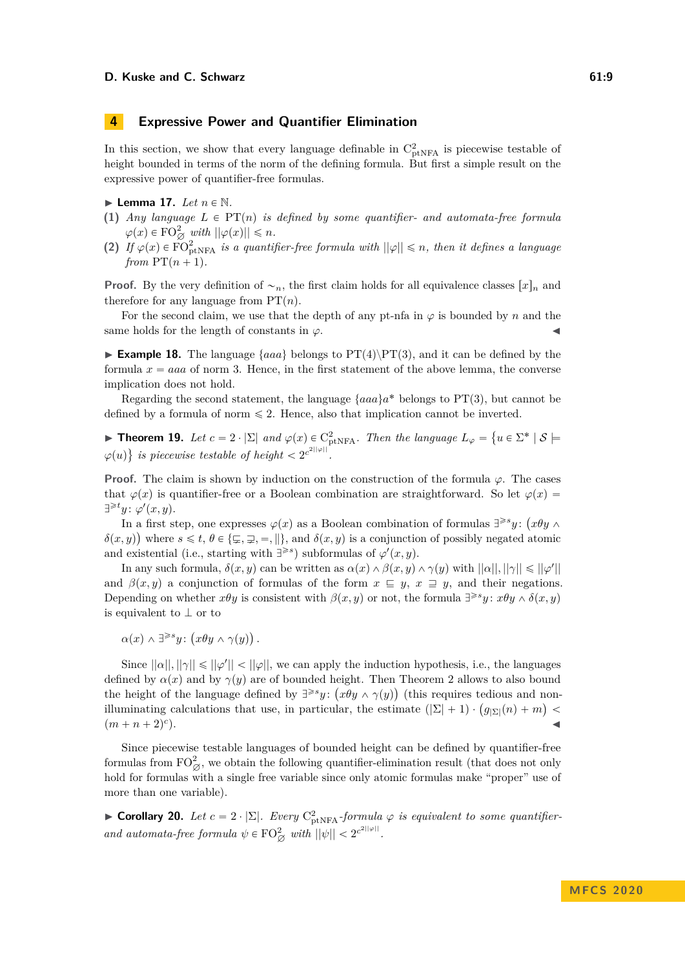# <span id="page-8-2"></span>**4 Expressive Power and Quantifier Elimination**

In this section, we show that every language definable in  $C_{\text{ptNFA}}^2$  is piecewise testable of height bounded in terms of the norm of the defining formula. But first a simple result on the expressive power of quantifier-free formulas.

 $\blacktriangleright$  Lemma 17. Let  $n \in \mathbb{N}$ .

- (1) *Any language*  $L \in PT(n)$  *is defined by some quantifier- and automata-free formula*  $\varphi(x) \in \mathrm{FO}_{\varnothing}^2$  *with*  $||\varphi(x)|| \leq n$ *.*
- **(2)** *If*  $\varphi(x) \in \text{FO}_{\text{ptNFA}}^2$  *is a quantifier-free formula with*  $||\varphi|| \leq n$ *, then it defines a language from*  $PT(n+1)$ *.*

**Proof.** By the very definition of  $\sim$ <sub>n</sub>, the first claim holds for all equivalence classes  $[x]_n$  and therefore for any language from  $PT(n)$ .

For the second claim, we use that the depth of any pt-nfa in  $\varphi$  is bounded by *n* and the same holds for the length of constants in  $\varphi$ .

**Example 18.** The language  $\{aaa\}$  belongs to  $PT(4)\PT(3)$ , and it can be defined by the formula  $x = aaa$  of norm 3. Hence, in the first statement of the above lemma, the converse implication does not hold.

Regarding the second statement, the language  $\{aaa\}a^*$  belongs to PT(3), but cannot be defined by a formula of norm  $\leq 2$ . Hence, also that implication cannot be inverted.

 $\mathbf{r}$ 

<span id="page-8-0"></span>**Fineorem 19.** Let  $c = 2 \cdot |\Sigma|$  and  $\varphi(x) \in C^2_{\text{ptNFA}}$ . Then the language  $L_{\varphi} =$  $u \in \Sigma^* \mid \mathcal{S} \models$  $\varphi(u)$ ( *is piecewise testable of height*  $\lt 2^{c^{2||\varphi||}}$ .

**Proof.** The claim is shown by induction on the construction of the formula  $\varphi$ . The cases that  $\varphi(x)$  is quantifier-free or a Boolean combination are straightforward. So let  $\varphi(x)$  $\exists^{\geq t} y$ :  $\varphi'(x, y)$ .

In a first step, one expresses  $\varphi(x)$  as a Boolean combination of formulas  $\exists^{\geq s}y$ :  $(x\theta y \land y)$  $\delta(x, y)$  where  $s \leq t, \theta \in {\{\varphi, \varphi\}}$ ,  $\Rightarrow$ ,  $\|\}$ , and  $\delta(x, y)$  is a conjunction of possibly negated atomic and existential (i.e., starting with  $\exists^{\geq s}$ ) subformulas of  $\varphi'(x, y)$ .

In any such formula,  $\delta(x, y)$  can be written as  $\alpha(x) \wedge \beta(x, y) \wedge \gamma(y)$  with  $||\alpha||, ||\gamma|| \leq ||\varphi'||$ and  $\beta(x, y)$  a conjunction of formulas of the form  $x \subseteq y$ ,  $x \supseteq y$ , and their negations. Depending on whether  $x\theta y$  is consistent with  $\beta(x, y)$  or not, the formula  $\exists^{\geq s} y$ :  $x\theta y \wedge \delta(x, y)$ is equivalent to  $\perp$  or to

 $\alpha(x) \wedge \exists^{\geq s} y$ :  $x\theta y \wedge \gamma(y)$ *.*

Since  $||\alpha||, ||\gamma|| \le ||\varphi||$ , we can apply the induction hypothesis, i.e., the languages defined by  $\alpha(x)$  and by  $\gamma(y)$  are of bounded height. Then Theorem [2](#page-3-0) allows to also bound the height of the language defined by  $\exists^{\geq s} y$ :  $(x\theta y \wedge \gamma(y))$  (this requires tedious and nonthe height of the language defined by  $\exists^{\varepsilon \circ} y$ :  $(x \theta y \wedge \gamma(y))$  (this requires tedious and non-<br>illuminating calculations that use, in particular, the estimate  $(|\Sigma| + 1) \cdot (g_{|\Sigma|}(n) + m)$  $(m + n + 2)^c$  $\blacksquare$ ).

Since piecewise testable languages of bounded height can be defined by quantifier-free formulas from  $FO^2_{\emptyset}$ , we obtain the following quantifier-elimination result (that does not only hold for formulas with a single free variable since only atomic formulas make "proper" use of more than one variable).

<span id="page-8-1"></span>► **Corollary 20.** *Let*  $c = 2 \cdot |\Sigma|$ *. Every*  $C_{ptNFA}^2$ *-formula*  $\varphi$  *is equivalent to some quantifierand automata-free formula*  $\psi \in \mathrm{FO}_{\varnothing}^2$  *with*  $||\psi|| < 2^{c^{2||\varphi||}}$ .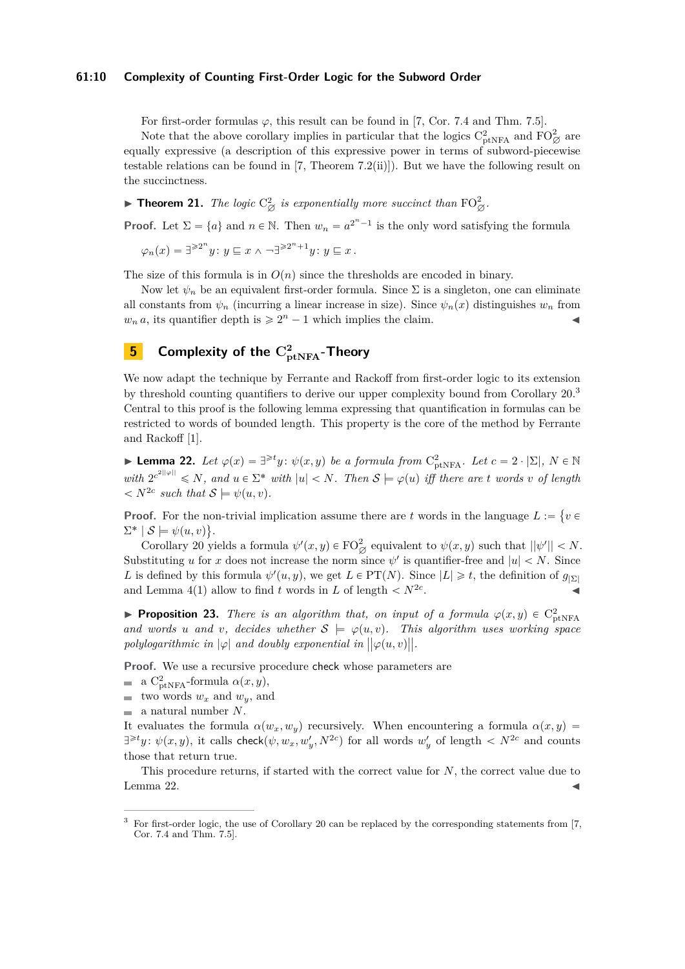#### **61:10 Complexity of Counting First-Order Logic for the Subword Order**

For first-order formulas  $\varphi$ , this result can be found in [\[7,](#page-10-5) Cor. 7.4 and Thm. 7.5].

Note that the above corollary implies in particular that the logics  $C_{\text{ptNFA}}^2$  and  $FO_{\varnothing}^2$  are equally expressive (a description of this expressive power in terms of subword-piecewise testable relations can be found in  $[7,$  Theorem  $7.2(ii)]$ ). But we have the following result on the succinctness.

<span id="page-9-0"></span>**Finder 121.** The logic  $C^2_{\emptyset}$  is exponentially more succinct than  $FO^2_{\emptyset}$ .

**Proof.** Let  $\Sigma = \{a\}$  and  $n \in \mathbb{N}$ . Then  $w_n = a^{2^n - 1}$  is the only word satisfying the formula

$$
\varphi_n(x) = \exists^{\geqslant 2^n} y \colon y \sqsubseteq x \land \neg \exists^{\geqslant 2^n+1} y \colon y \sqsubseteq x \, .
$$

The size of this formula is in  $O(n)$  since the thresholds are encoded in binary.

Now let  $\psi_n$  be an equivalent first-order formula. Since  $\Sigma$  is a singleton, one can eliminate all constants from  $\psi_n$  (incurring a linear increase in size). Since  $\psi_n(x)$  distinguishes  $w_n$  from  $w_n a$ , its quantifier depth is  $\geq 2^n - 1$  which implies the claim.

# $\frac{\mathbf{5}}{\mathbf{5}}$  Complexity of the  $\mathrm{C}^2_{\text{ptNFA}}$ -Theory

We now adapt the technique by Ferrante and Rackoff from first-order logic to its extension by threshold counting quantifiers to derive our upper complexity bound from Corollary [20.](#page-8-1)<sup>[3](#page-9-1)</sup> Central to this proof is the following lemma expressing that quantification in formulas can be restricted to words of bounded length. This property is the core of the method by Ferrante and Rackoff [\[1\]](#page-10-6).

<span id="page-9-2"></span>**Lemma 22.** *Let*  $\varphi(x) = \exists^{\geq t} y$ :  $\psi(x, y)$  *be a formula from*  $C_{\text{ptNFA}}^2$ *. Let*  $c = 2 \cdot |\Sigma|$ *,*  $N \in \mathbb{N}$  $w$ ith  $2^{c^{2||\varphi||}} \leq N$ , and  $u \in \Sigma^*$  with  $|u| < N$ . Then  $S \models \varphi(u)$  iff there are *t* words *v* of length  $\langle X \rangle \leq N^{2c}$  such that  $\mathcal{S} \models \psi(u, v)$ .  $\mathbf{r}$ 

**Proof.** For the non-trivial implication assume there are  $t$  words in the language  $L :=$ non-trivial implication assume there are t words in the language  $L := \{v \in \mathbb{R}^n : v \in \mathbb{R}^n : v \in \mathbb{R}^n : v \in \mathbb{R}^n : v \in \mathbb{R}^n : v \in \mathbb{R}^n : v \in \mathbb{R}^n : v \in \mathbb{R}^n : v \in \mathbb{R}^n : v \in \mathbb{R}^n \}$  $\Sigma^* \mid \mathcal{S} \models \psi(u, v) \}.$ 

Corollary [20](#page-8-1) yields a formula  $\psi'(x, y) \in \mathrm{FO}_{\varnothing}^2$  equivalent to  $\psi(x, y)$  such that  $||\psi'|| < N$ . Substituting *u* for *x* does not increase the norm since  $\psi'$  is quantifier-free and  $|u| < N$ . Since *L* is defined by this formula  $\psi'(u, y)$ , we get  $L \in PT(N)$ . Since  $|L| \geq t$ , the definition of  $g_{|\Sigma|}$ and Lemma [4\(](#page-4-5)[1\)](#page-4-1) allow to find *t* words in *L* of length  $\langle N^{2c} \rangle$ . . J

**Proposition 23.** *There is an algorithm that, on input of a formula*  $\varphi(x, y) \in C_{\text{ptNFA}}^2$ and words *u* and *v*, decides whether  $S \models \varphi(u, v)$ . This algorithm uses working space  $polylogarithmic$  *in*  $|\varphi|$  *and doubly exponential in*  $||\varphi(u, v)||$ .

**Proof.** We use a recursive procedure check whose parameters are

- a  $C^2_{\text{ptNFA}}$ -formula  $\alpha(x, y)$ ,
- $\equiv$  two words  $w_x$  and  $w_y$ , and
- $\blacksquare$  a natural number *N*.

It evaluates the formula  $\alpha(w_x, w_y)$  recursively. When encountering a formula  $\alpha(x, y)$  $\exists^{\geq t} y$ :  $\psi(x, y)$ , it calls check $(\psi, w_x, w'_y, N^{2c})$  for all words  $w'_y$  of length  $\langle N^{2c} \rangle$  and counts those that return true.

This procedure returns, if started with the correct value for *N*, the correct value due to Lemma [22.](#page-9-2)  $\blacksquare$ 

<span id="page-9-1"></span><sup>3</sup> For first-order logic, the use of Corollary [20](#page-8-1) can be replaced by the corresponding statements from [\[7,](#page-10-5) Cor. 7.4 and Thm. 7.5].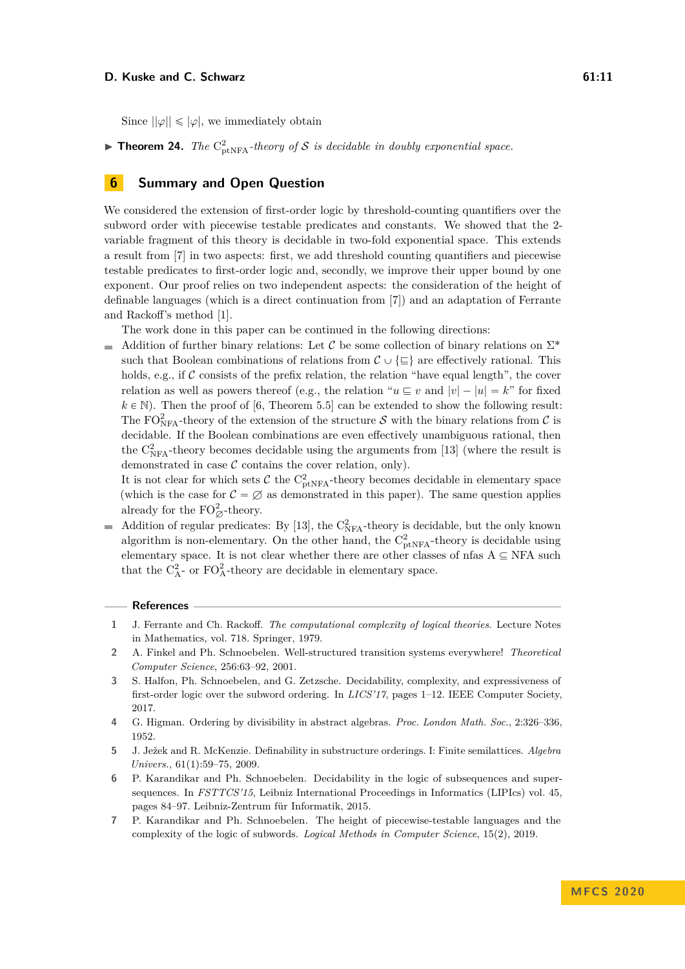**Theorem 24.** *The*  $C_{\text{ptNFA}}^2$ -theory of S is decidable in doubly exponential space.

# **6 Summary and Open Question**

We considered the extension of first-order logic by threshold-counting quantifiers over the subword order with piecewise testable predicates and constants. We showed that the 2 variable fragment of this theory is decidable in two-fold exponential space. This extends a result from [\[7\]](#page-10-5) in two aspects: first, we add threshold counting quantifiers and piecewise testable predicates to first-order logic and, secondly, we improve their upper bound by one exponent. Our proof relies on two independent aspects: the consideration of the height of definable languages (which is a direct continuation from [\[7\]](#page-10-5)) and an adaptation of Ferrante and Rackoff's method [\[1\]](#page-10-6).

The work done in this paper can be continued in the following directions:

Addition of further binary relations: Let C be some collection of binary relations on  $\Sigma^*$  $\blacksquare$ such that Boolean combinations of relations from  $\mathcal{C} \cup \{\subseteq\}$  are effectively rational. This holds, e.g., if  $C$  consists of the prefix relation, the relation "have equal length", the cover relation as well as powers thereof (e.g., the relation " $u \subseteq v$  and  $|v| - |u| = k$ " for fixed  $k \in \mathbb{N}$ ). Then the proof of [\[6,](#page-10-3) Theorem 5.5] can be extended to show the following result: The FO<sub>NFA</sub>-theory of the extension of the structure S with the binary relations from C is decidable. If the Boolean combinations are even effectively unambiguous rational, then the  $C_{NFA}^2$ -theory becomes decidable using the arguments from [\[13\]](#page-11-7) (where the result is demonstrated in case  $\mathcal C$  contains the cover relation, only).

It is not clear for which sets  $C$  the  $C_{ptNFA}^2$ -theory becomes decidable in elementary space (which is the case for  $C = \emptyset$  as demonstrated in this paper). The same question applies already for the  $\mathrm{FO}_\varnothing^2$ -theory.

Addition of regular predicates: By [\[13\]](#page-11-7), the  $C_{NFA}^2$ -theory is decidable, but the only known  $\overline{a}$ algorithm is non-elementary. On the other hand, the  $C_{\text{ptNFA}}^2$ -theory is decidable using elementary space. It is not clear whether there are other classes of nfas  $A \subseteq NFA$  such that the  $C_A^2$ - or  $FO_A^2$ -theory are decidable in elementary space.

#### **References**

- <span id="page-10-6"></span>**1** J. Ferrante and Ch. Rackoff. *The computational complexity of logical theories*. Lecture Notes in Mathematics, vol. 718. Springer, 1979.
- <span id="page-10-1"></span>**2** A. Finkel and Ph. Schnoebelen. Well-structured transition systems everywhere! *Theoretical Computer Science*, 256:63–92, 2001.
- <span id="page-10-4"></span>**3** S. Halfon, Ph. Schnoebelen, and G. Zetzsche. Decidability, complexity, and expressiveness of first-order logic over the subword ordering. In *LICS'17*, pages 1–12. IEEE Computer Society, 2017.
- <span id="page-10-0"></span>**4** G. Higman. Ordering by divisibility in abstract algebras. *Proc. London Math. Soc.*, 2:326–336, 1952.
- <span id="page-10-2"></span>**5** J. Ježek and R. McKenzie. Definability in substructure orderings. I: Finite semilattices. *Algebra Univers.*, 61(1):59–75, 2009.
- <span id="page-10-3"></span>**6** P. Karandikar and Ph. Schnoebelen. Decidability in the logic of subsequences and supersequences. In *FSTTCS'15*, Leibniz International Proceedings in Informatics (LIPIcs) vol. 45, pages 84–97. Leibniz-Zentrum für Informatik, 2015.
- <span id="page-10-5"></span>**7** P. Karandikar and Ph. Schnoebelen. The height of piecewise-testable languages and the complexity of the logic of subwords. *Logical Methods in Computer Science*, 15(2), 2019.